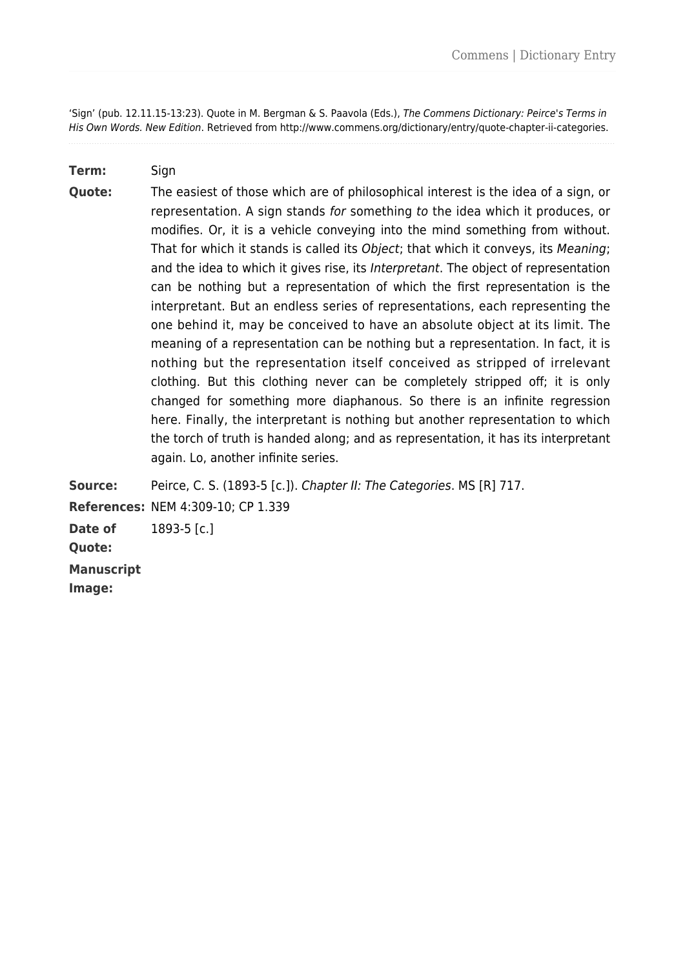'Sign' (pub. 12.11.15-13:23). Quote in M. Bergman & S. Paavola (Eds.), The Commens Dictionary: Peirce's Terms in His Own Words. New Edition. Retrieved from http://www.commens.org/dictionary/entry/quote-chapter-ii-categories.

## **Term:** Sign

**Quote:** The easiest of those which are of philosophical interest is the idea of a sign, or representation. A sign stands for something to the idea which it produces, or modifies. Or, it is a vehicle conveying into the mind something from without. That for which it stands is called its Object; that which it conveys, its Meaning; and the idea to which it gives rise, its Interpretant. The object of representation can be nothing but a representation of which the first representation is the interpretant. But an endless series of representations, each representing the one behind it, may be conceived to have an absolute object at its limit. The meaning of a representation can be nothing but a representation. In fact, it is nothing but the representation itself conceived as stripped of irrelevant clothing. But this clothing never can be completely stripped off; it is only changed for something more diaphanous. So there is an infinite regression here. Finally, the interpretant is nothing but another representation to which the torch of truth is handed along; and as representation, it has its interpretant again. Lo, another infinite series.

**Source:** Peirce, C. S. (1893-5 [c.]). Chapter II: The Categories. MS [R] 717. **References:** NEM 4:309-10; CP 1.339

**Date of** 1893-5 [c.]

**Quote:** 

**Manuscript**

**Image:**